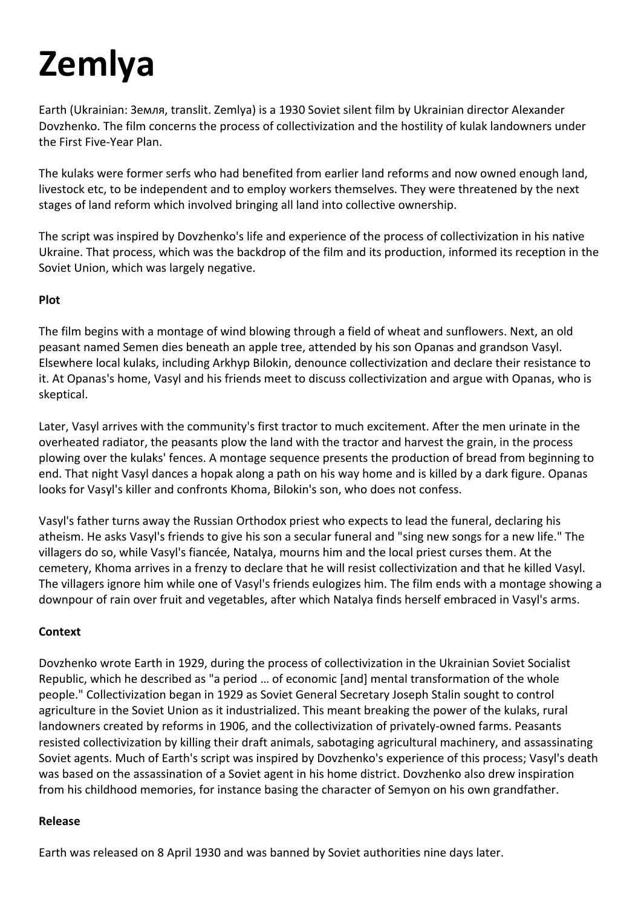# **Zemlya**

Earth (Ukrainian: Земля, translit. Zemlya) is a 1930 Soviet silent film by Ukrainian director Alexander Dovzhenko. The film concerns the process of collectivization and the hostility of kulak landowners under the First Five-Year Plan.

The kulaks were former serfs who had benefited from earlier land reforms and now owned enough land, livestock etc, to be independent and to employ workers themselves. They were threatened by the next stages of land reform which involved bringing all land into collective ownership.

The script was inspired by Dovzhenko's life and experience of the process of collectivization in his native Ukraine. That process, which was the backdrop of the film and its production, informed its reception in the Soviet Union, which was largely negative.

#### **Plot**

The film begins with a montage of wind blowing through a field of wheat and sunflowers. Next, an old peasant named Semen dies beneath an apple tree, attended by his son Opanas and grandson Vasyl. Elsewhere local kulaks, including Arkhyp Bilokin, denounce collectivization and declare their resistance to it. At Opanas's home, Vasyl and his friends meet to discuss collectivization and argue with Opanas, who is skeptical.

Later, Vasyl arrives with the community's first tractor to much excitement. After the men urinate in the overheated radiator, the peasants plow the land with the tractor and harvest the grain, in the process plowing over the kulaks' fences. A montage sequence presents the production of bread from beginning to end. That night Vasyl dances a hopak along a path on his way home and is killed by a dark figure. Opanas looks for Vasyl's killer and confronts Khoma, Bilokin's son, who does not confess.

Vasyl's father turns away the Russian Orthodox priest who expects to lead the funeral, declaring his atheism. He asks Vasyl's friends to give his son a secular funeral and "sing new songs for a new life." The villagers do so, while Vasyl's fiancée, Natalya, mourns him and the local priest curses them. At the cemetery, Khoma arrives in a frenzy to declare that he will resist collectivization and that he killed Vasyl. The villagers ignore him while one of Vasyl's friends eulogizes him. The film ends with a montage showing a downpour of rain over fruit and vegetables, after which Natalya finds herself embraced in Vasyl's arms.

# **Context**

Dovzhenko wrote Earth in 1929, during the process of collectivization in the Ukrainian Soviet Socialist Republic, which he described as "a period … of economic [and] mental transformation of the whole people." Collectivization began in 1929 as Soviet General Secretary Joseph Stalin sought to control agriculture in the Soviet Union as it industrialized. This meant breaking the power of the kulaks, rural landowners created by reforms in 1906, and the collectivization of privately-owned farms. Peasants resisted collectivization by killing their draft animals, sabotaging agricultural machinery, and assassinating Soviet agents. Much of Earth's script was inspired by Dovzhenko's experience of this process; Vasyl's death was based on the assassination of a Soviet agent in his home district. Dovzhenko also drew inspiration from his childhood memories, for instance basing the character of Semyon on his own grandfather.

#### **Release**

Earth was released on 8 April 1930 and was banned by Soviet authorities nine days later.